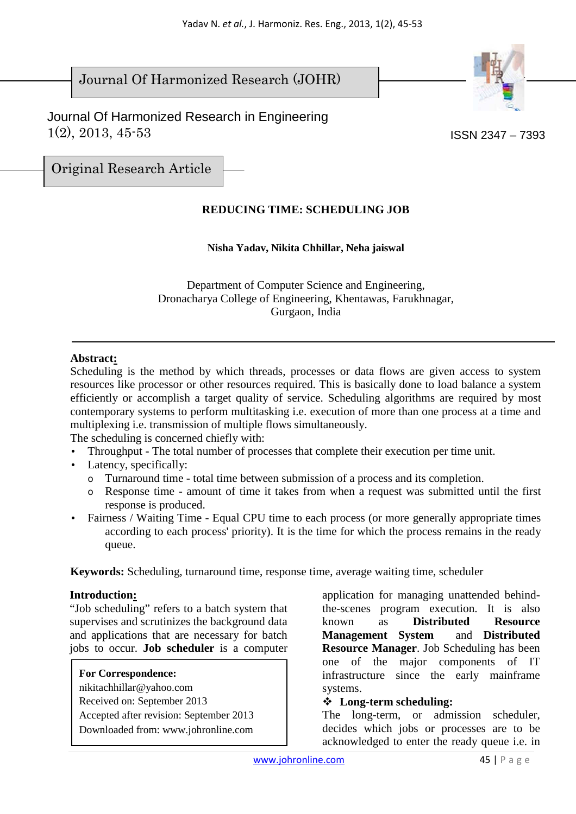# Journal Of Harmonized Research (JOHR)





Original Research Article

## **REDUCING TIME: SCHEDULING JOB**

## **Nisha Yadav, Nikita Chhillar, Neha jaiswal**

Department of Computer Science and Engineering, Dronacharya College of Engineering, Khentawas, Farukhnagar, Gurgaon, India

## **Abstract:**

Scheduling is the method by which threads, processes or data flows are given access to system resources like processor or other resources required. This is basically done to load balance a system efficiently or accomplish a target quality of service. Scheduling algorithms are required by most contemporary systems to perform multitasking i.e. execution of more than one process at a time and multiplexing i.e. transmission of multiple flows simultaneously.

The scheduling is concerned chiefly with:

- Throughput The total number of processes that complete their execution per time unit.
- Latency, specifically:
	- o Turnaround time total time between submission of a process and its completion.
	- o Response time amount of time it takes from when a request was submitted until the first response is produced.
- Fairness / Waiting Time Equal CPU time to each process (or more generally appropriate times according to each process' priority). It is the time for which the process remains in the ready queue.

**Keywords:** Scheduling, turnaround time, response time, average waiting time, scheduler

## **Introduction:**

"Job scheduling" refers to a batch system that supervises and scrutinizes the background data and applications that are necessary for batch jobs to occur. **Job scheduler** is a computer

**For Correspondence:**  nikitachhillar@yahoo.com Received on: September 2013 Accepted after revision: September 2013 Downloaded from: www.johronline.com

application for managing unattended behindthe-scenes program execution. It is also known as **Distributed Resource Management** System **Resource Manager**. Job Scheduling has been one of the major components of IT infrastructure since the early mainframe systems.

## **Long-term scheduling:**

The long-term, or admission scheduler, decides which jobs or processes are to be acknowledged to enter the ready queue i.e. in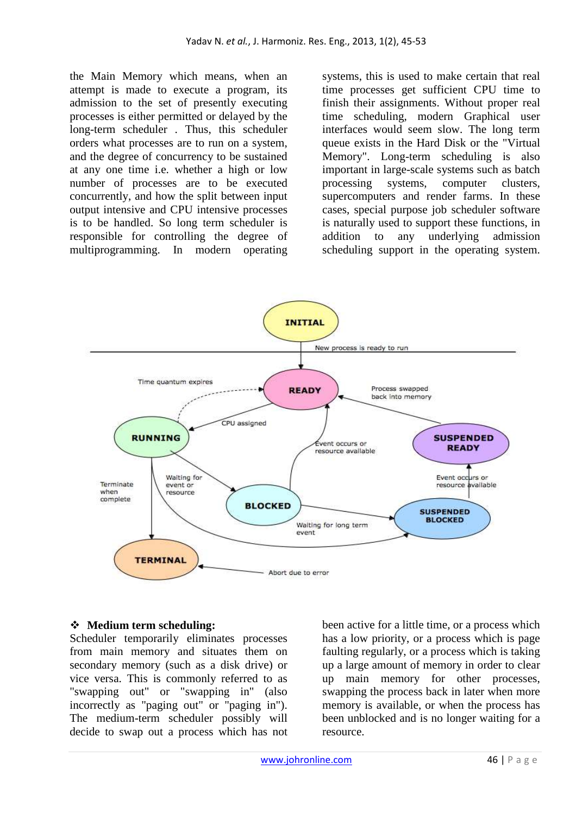the Main Memory which means, when an attempt is made to execute a program, its admission to the set of presently executing processes is either permitted or delayed by the long-term scheduler . Thus, this scheduler orders what processes are to run on a system, and the degree of concurrency to be sustained at any one time i.e. whether a high or low number of processes are to be executed concurrently, and how the split between input output intensive and CPU intensive processes is to be handled. So long term scheduler is responsible for controlling the degree of multiprogramming. In modern operating systems, this is used to make certain that real time processes get sufficient CPU time to finish their assignments. Without proper real time scheduling, modern Graphical user interfaces would seem slow. The long term queue exists in the Hard Disk or the "Virtual Memory". Long-term scheduling is also important in large-scale systems such as batch processing systems, computer clusters, supercomputers and render farms. In these cases, special purpose job scheduler software is naturally used to support these functions, in addition to any underlying admission scheduling support in the operating system.



## **Medium term scheduling:**

Scheduler temporarily eliminates processes from main memory and situates them on secondary memory (such as a disk drive) or vice versa. This is commonly referred to as "swapping out" or "swapping in" (also incorrectly as "paging out" or "paging in"). The medium-term scheduler possibly will decide to swap out a process which has not been active for a little time, or a process which has a low priority, or a process which is page faulting regularly, or a process which is taking up a large amount of memory in order to clear up main memory for other processes, swapping the process back in later when more memory is available, or when the process has been unblocked and is no longer waiting for a resource.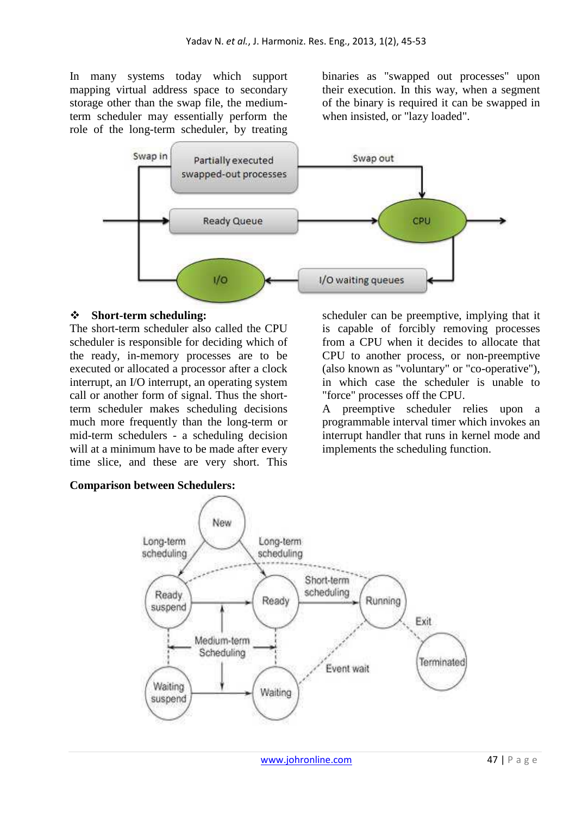In many systems today which support mapping virtual address space to secondary storage other than the swap file, the mediumterm scheduler may essentially perform the role of the long-term scheduler, by treating binaries as "swapped out processes" upon their execution. In this way, when a segment of the binary is required it can be swapped in when insisted, or "lazy loaded".



#### **Short-term scheduling:**

The short-term scheduler also called the CPU scheduler is responsible for deciding which of the ready, in-memory processes are to be executed or allocated a processor after a clock interrupt, an I/O interrupt, an operating system call or another form of signal. Thus the shortterm scheduler makes scheduling decisions much more frequently than the long-term or mid-term schedulers - a scheduling decision will at a minimum have to be made after every time slice, and these are very short. This scheduler can be preemptive, implying that it is capable of forcibly removing processes from a CPU when it decides to allocate that CPU to another process, or non-preemptive (also known as "voluntary" or "co-operative"), in which case the scheduler is unable to "force" processes off the CPU.

A preemptive scheduler relies upon a programmable interval timer which invokes an interrupt handler that runs in kernel mode and implements the scheduling function.

## **Comparison between Schedulers:**

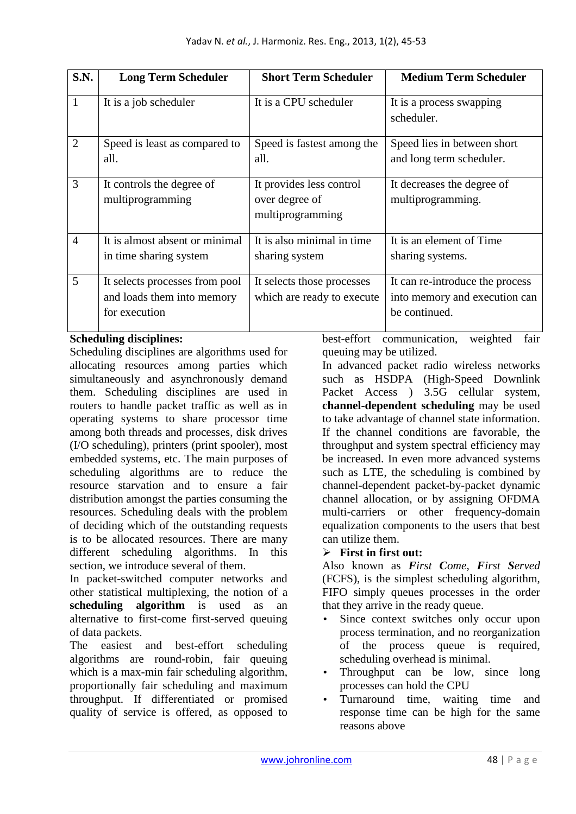| <b>S.N.</b>    | <b>Long Term Scheduler</b>                                                    | <b>Short Term Scheduler</b>                                    | <b>Medium Term Scheduler</b>                                                      |
|----------------|-------------------------------------------------------------------------------|----------------------------------------------------------------|-----------------------------------------------------------------------------------|
| $\mathbf{1}$   | It is a job scheduler                                                         | It is a CPU scheduler                                          | It is a process swapping<br>scheduler.                                            |
| $\overline{2}$ | Speed is least as compared to<br>all.                                         | Speed is fastest among the<br>all.                             | Speed lies in between short<br>and long term scheduler.                           |
| 3              | It controls the degree of<br>multiprogramming                                 | It provides less control<br>over degree of<br>multiprogramming | It decreases the degree of<br>multiprogramming.                                   |
| $\overline{4}$ | It is almost absent or minimal<br>in time sharing system                      | It is also minimal in time<br>sharing system                   | It is an element of Time<br>sharing systems.                                      |
| 5              | It selects processes from pool<br>and loads them into memory<br>for execution | It selects those processes<br>which are ready to execute       | It can re-introduce the process<br>into memory and execution can<br>be continued. |

## **Scheduling disciplines:**

Scheduling disciplines are algorithms used for allocating resources among parties which simultaneously and asynchronously demand them. Scheduling disciplines are used in routers to handle packet traffic as well as in operating systems to share processor time among both threads and processes, disk drives (I/O scheduling), printers (print spooler), most embedded systems, etc. The main purposes of scheduling algorithms are to reduce the resource starvation and to ensure a fair distribution amongst the parties consuming the resources. Scheduling deals with the problem of deciding which of the outstanding requests is to be allocated resources. There are many different scheduling algorithms. In this section, we introduce several of them.

In packet-switched computer networks and other statistical multiplexing, the notion of a **scheduling algorithm** is used as an alternative to first-come first-served queuing of data packets.

The easiest and best-effort scheduling algorithms are round-robin, fair queuing which is a max-min fair scheduling algorithm, proportionally fair scheduling and maximum throughput. If differentiated or promised quality of service is offered, as opposed to

best-effort communication, weighted fair queuing may be utilized.

In advanced packet radio wireless networks such as HSDPA (High-Speed Downlink Packet Access ) 3.5G cellular system, **channel-dependent scheduling** may be used to take advantage of channel state information. If the channel conditions are favorable, the throughput and system spectral efficiency may be increased. In even more advanced systems such as LTE, the scheduling is combined by channel-dependent packet-by-packet dynamic channel allocation, or by assigning OFDMA multi-carriers or other frequency-domain equalization components to the users that best can utilize them.

## - **First in first out:**

Also known as *First Come, First Served* (FCFS), is the simplest scheduling algorithm, FIFO simply queues processes in the order that they arrive in the ready queue.

- Since context switches only occur upon process termination, and no reorganization of the process queue is required, scheduling overhead is minimal.
- Throughput can be low, since long processes can hold the CPU
- Turnaround time, waiting time and response time can be high for the same reasons above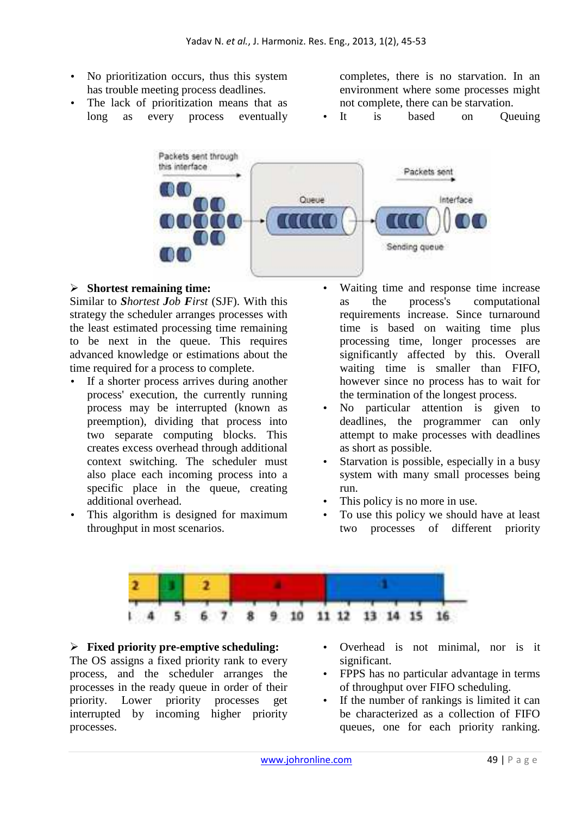- No prioritization occurs, thus this system has trouble meeting process deadlines.
- The lack of prioritization means that as long as every process eventually

completes, there is no starvation. In an environment where some processes might not complete, there can be starvation.

It is based on Queuing



## - **Shortest remaining time:**

Similar to *Shortest Job First* (SJF). With this strategy the scheduler arranges processes with the least estimated processing time remaining to be next in the queue. This requires advanced knowledge or estimations about the time required for a process to complete.

- If a shorter process arrives during another process' execution, the currently running process may be interrupted (known as preemption), dividing that process into two separate computing blocks. This creates excess overhead through additional context switching. The scheduler must also place each incoming process into a specific place in the queue, creating additional overhead.
- This algorithm is designed for maximum throughput in most scenarios.
- Waiting time and response time increase as the process's computational requirements increase. Since turnaround time is based on waiting time plus processing time, longer processes are significantly affected by this. Overall waiting time is smaller than FIFO, however since no process has to wait for the termination of the longest process.
- No particular attention is given to deadlines, the programmer can only attempt to make processes with deadlines as short as possible.
- Starvation is possible, especially in a busy system with many small processes being run.
- This policy is no more in use.
- To use this policy we should have at least two processes of different priority



## - **Fixed priority pre-emptive scheduling:**

The OS assigns a fixed priority rank to every process, and the scheduler arranges the processes in the ready queue in order of their priority. Lower priority processes get interrupted by incoming higher priority processes.

- Overhead is not minimal, nor is it significant.
- FPPS has no particular advantage in terms of throughput over FIFO scheduling.
- If the number of rankings is limited it can be characterized as a collection of FIFO queues, one for each priority ranking.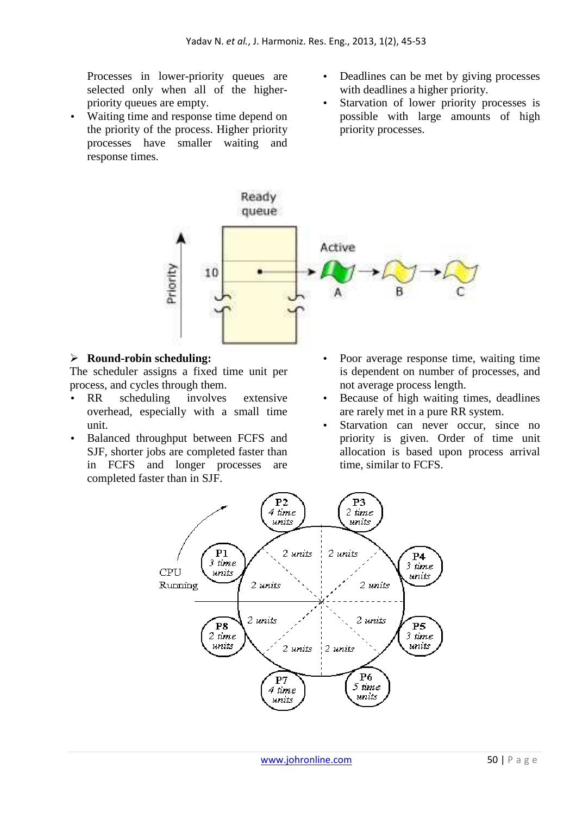Processes in lower-priority queues are selected only when all of the higherpriority queues are empty.

- Waiting time and response time depend on the priority of the process. Higher priority processes have smaller waiting and response times.
- Deadlines can be met by giving processes with deadlines a higher priority.
- Starvation of lower priority processes is possible with large amounts of high priority processes.



## - **Round-robin scheduling:**

The scheduler assigns a fixed time unit per process, and cycles through them.

- RR scheduling involves extensive overhead, especially with a small time unit.
- Balanced throughput between FCFS and SJF, shorter jobs are completed faster than in FCFS and longer processes are completed faster than in SJF.
- Poor average response time, waiting time is dependent on number of processes, and not average process length.
- Because of high waiting times, deadlines are rarely met in a pure RR system.
- Starvation can never occur, since no priority is given. Order of time unit allocation is based upon process arrival time, similar to FCFS.

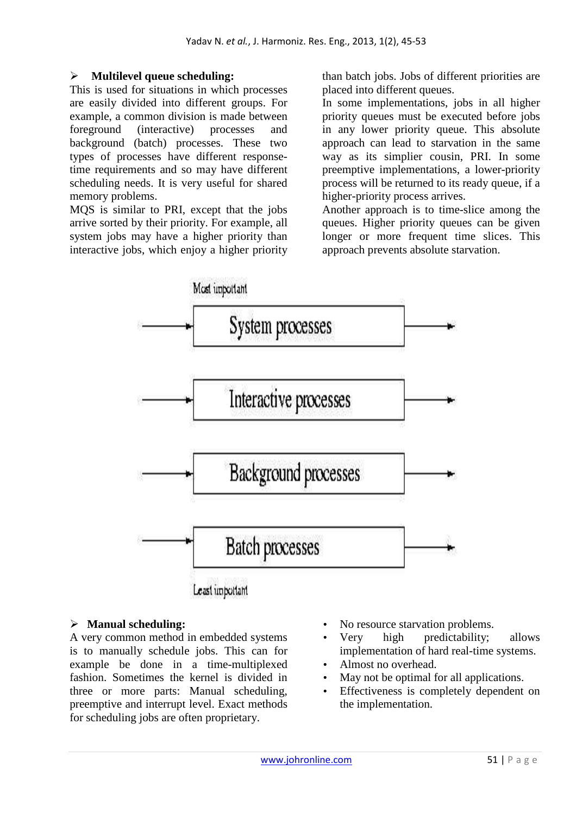#### $\blacktriangleright$ **Multilevel queue scheduling:**

This is used for situations in which processes are easily divided into different groups. For example, a common division is made between foreground (interactive) processes and background (batch) processes. These two types of processes have different responsetime requirements and so may have different scheduling needs. It is very useful for shared memory problems.

MQS is similar to PRI, except that the jobs arrive sorted by their priority. For example, all system jobs may have a higher priority than interactive jobs, which enjoy a higher priority than batch jobs. Jobs of different priorities are placed into different queues.

In some implementations, jobs in all higher priority queues must be executed before jobs in any lower priority queue. This absolute approach can lead to starvation in the same way as its simplier cousin, PRI. In some preemptive implementations, a lower-priority process will be returned to its ready queue, if a higher-priority process arrives.

Another approach is to time-slice among the queues. Higher priority queues can be given longer or more frequent time slices. This approach prevents absolute starvation.



## - **Manual scheduling:**

A very common method in embedded systems is to manually schedule jobs. This can for example be done in a time-multiplexed fashion. Sometimes the kernel is divided in three or more parts: Manual scheduling, preemptive and interrupt level. Exact methods for scheduling jobs are often proprietary.

- No resource starvation problems.
- Very high predictability; allows implementation of hard real-time systems.
- Almost no overhead.
- May not be optimal for all applications.
- Effectiveness is completely dependent on the implementation.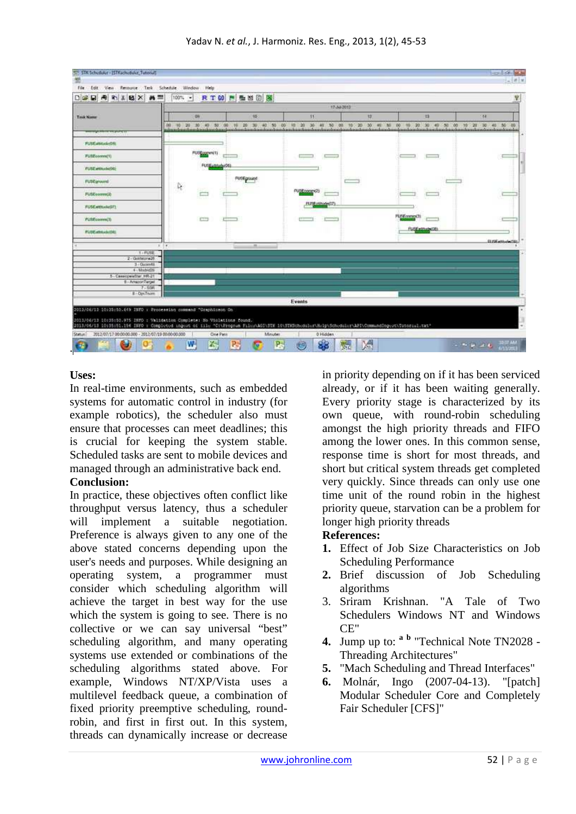

## **Uses:**

In real-time environments, such as embedded systems for automatic control in industry (for example robotics), the scheduler also must ensure that processes can meet deadlines; this is crucial for keeping the system stable. Scheduled tasks are sent to mobile devices and managed through an administrative back end.

#### **Conclusion:**

In practice, these objectives often conflict like throughput versus latency, thus a scheduler will implement a suitable negotiation. Preference is always given to any one of the above stated concerns depending upon the user's needs and purposes. While designing an operating system, a programmer must consider which scheduling algorithm will achieve the target in best way for the use which the system is going to see. There is no collective or we can say universal "best" scheduling algorithm, and many operating systems use extended or combinations of the scheduling algorithms stated above. For example, Windows NT/XP/Vista uses a multilevel feedback queue, a combination of fixed priority preemptive scheduling, roundrobin, and first in first out. In this system, threads can dynamically increase or decrease

in priority depending on if it has been serviced already, or if it has been waiting generally. Every priority stage is characterized by its own queue, with round-robin scheduling amongst the high priority threads and FIFO among the lower ones. In this common sense, response time is short for most threads, and short but critical system threads get completed very quickly. Since threads can only use one time unit of the round robin in the highest priority queue, starvation can be a problem for longer high priority threads

#### **References:**

- **1.** Effect of Job Size Characteristics on Job Scheduling Performance
- **2.** Brief discussion of Job Scheduling algorithms
- 3. Sriram Krishnan. "A Tale of Two Schedulers Windows NT and Windows CE"
- **4.** Jump up to: **<sup>a</sup> <sup>b</sup>** "Technical Note TN2028 Threading Architectures"
- **5.** "Mach Scheduling and Thread Interfaces"
- **6.** Molnár, Ingo (2007-04-13). "[patch] Modular Scheduler Core and Completely Fair Scheduler [CFS]"